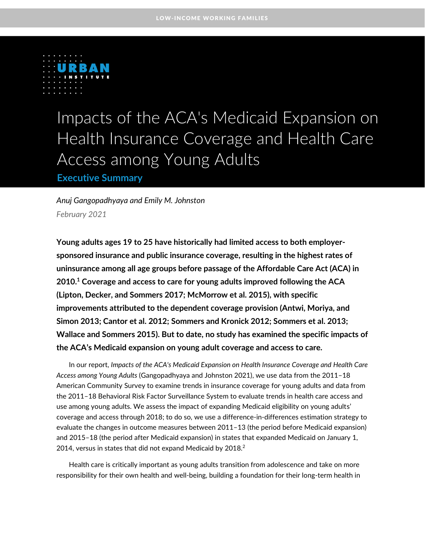

# Impacts of the ACA's Medicaid Expansion on Health Insurance Coverage and Health Care Access among Young Adults

**Executive Summary**

*Anuj Gangopadhyaya and Emily M. Johnston February 2021*

**Young adults ages 19 to 25 have historically had limited access to both employersponsored insurance and public insurance coverage, resulting in the highest rates of uninsurance among all age groups before passage of the Affordable Care Act (ACA) in 2010. <sup>1</sup> Coverage and access to care for young adults improved following the ACA (Lipton, Decker, and Sommers 2017; McMorrow et al. 2015), with specific improvements attributed to the dependent coverage provision (Antwi, Moriya, and Simon 2013; Cantor et al. 2012; Sommers and Kronick 2012; Sommers et al. 2013; Wallace and Sommers 2015). But to date, no study has examined the specific impacts of the ACA's Medicaid expansion on young adult coverage and access to care.**

In our report, *Impacts of the ACA's Medicaid Expansion on Health Insurance Coverage and Health Care Access among Young Adults* (Gangopadhyaya and Johnston 2021), we use data from the 2011–18 American Community Survey to examine trends in insurance coverage for young adults and data from the 2011–18 Behavioral Risk Factor Surveillance System to evaluate trends in health care access and use among young adults. We assess the impact of expanding Medicaid eligibility on young adults' coverage and access through 2018; to do so, we use a difference-in-differences estimation strategy to evaluate the changes in outcome measures between 2011–13 (the period before Medicaid expansion) and 2015–18 (the period after Medicaid expansion) in states that expanded Medicaid on January 1, 2014, versus in states that did not expand Medicaid by 2018. $^2$ 

Health care is critically important as young adults transition from adolescence and take on more responsibility for their own health and well-being, building a foundation for their long-term health in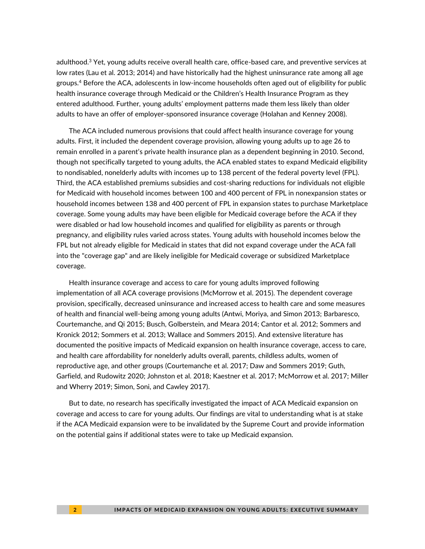adulthood.<sup>3</sup> Yet, young adults receive overall health care, office-based care, and preventive services at low rates (Lau et al. 2013; 2014) and have historically had the highest uninsurance rate among all age groups.<sup>4</sup> Before the ACA, adolescents in low-income households often aged out of eligibility for public health insurance coverage through Medicaid or the Children's Health Insurance Program as they entered adulthood. Further, young adults' employment patterns made them less likely than older adults to have an offer of employer-sponsored insurance coverage (Holahan and Kenney 2008).

The ACA included numerous provisions that could affect health insurance coverage for young adults. First, it included the dependent coverage provision, allowing young adults up to age 26 to remain enrolled in a parent's private health insurance plan as a dependent beginning in 2010. Second, though not specifically targeted to young adults, the ACA enabled states to expand Medicaid eligibility to nondisabled, nonelderly adults with incomes up to 138 percent of the federal poverty level (FPL). Third, the ACA established premiums subsidies and cost-sharing reductions for individuals not eligible for Medicaid with household incomes between 100 and 400 percent of FPL in nonexpansion states or household incomes between 138 and 400 percent of FPL in expansion states to purchase Marketplace coverage. Some young adults may have been eligible for Medicaid coverage before the ACA if they were disabled or had low household incomes and qualified for eligibility as parents or through pregnancy, and eligibility rules varied across states. Young adults with household incomes below the FPL but not already eligible for Medicaid in states that did not expand coverage under the ACA fall into the "coverage gap" and are likely ineligible for Medicaid coverage or subsidized Marketplace coverage.

Health insurance coverage and access to care for young adults improved following implementation of all ACA coverage provisions (McMorrow et al. 2015). The dependent coverage provision, specifically, decreased uninsurance and increased access to health care and some measures of health and financial well-being among young adults (Antwi, Moriya, and Simon 2013; Barbaresco, Courtemanche, and Qi 2015; Busch, Golberstein, and Meara 2014; Cantor et al. 2012; Sommers and Kronick 2012; Sommers et al. 2013; Wallace and Sommers 2015). And extensive literature has documented the positive impacts of Medicaid expansion on health insurance coverage, access to care, and health care affordability for nonelderly adults overall, parents, childless adults, women of reproductive age, and other groups (Courtemanche et al. 2017; Daw and Sommers 2019; Guth, Garfield, and Rudowitz 2020; Johnston et al. 2018; Kaestner et al. 2017; McMorrow et al. 2017; Miller and Wherry 2019; Simon, Soni, and Cawley 2017).

But to date, no research has specifically investigated the impact of ACA Medicaid expansion on coverage and access to care for young adults. Our findings are vital to understanding what is at stake if the ACA Medicaid expansion were to be invalidated by the Supreme Court and provide information on the potential gains if additional states were to take up Medicaid expansion.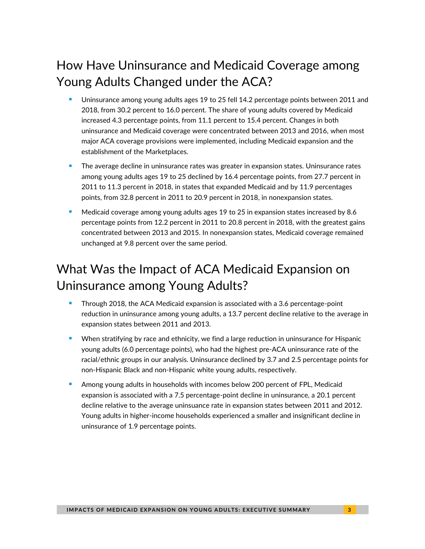# How Have Uninsurance and Medicaid Coverage among Young Adults Changed under the ACA?

- Uninsurance among young adults ages 19 to 25 fell 14.2 percentage points between 2011 and 2018, from 30.2 percent to 16.0 percent. The share of young adults covered by Medicaid increased 4.3 percentage points, from 11.1 percent to 15.4 percent. Changes in both uninsurance and Medicaid coverage were concentrated between 2013 and 2016, when most major ACA coverage provisions were implemented, including Medicaid expansion and the establishment of the Marketplaces.
- The average decline in uninsurance rates was greater in expansion states. Uninsurance rates among young adults ages 19 to 25 declined by 16.4 percentage points, from 27.7 percent in 2011 to 11.3 percent in 2018, in states that expanded Medicaid and by 11.9 percentages points, from 32.8 percent in 2011 to 20.9 percent in 2018, in nonexpansion states.
- <sup>◼</sup> Medicaid coverage among young adults ages 19 to 25 in expansion states increased by 8.6 percentage points from 12.2 percent in 2011 to 20.8 percent in 2018, with the greatest gains concentrated between 2013 and 2015. In nonexpansion states, Medicaid coverage remained unchanged at 9.8 percent over the same period.

# What Was the Impact of ACA Medicaid Expansion on Uninsurance among Young Adults?

- <sup>◼</sup> Through 2018, the ACA Medicaid expansion is associated with a 3.6 percentage-point reduction in uninsurance among young adults, a 13.7 percent decline relative to the average in expansion states between 2011 and 2013.
- When stratifying by race and ethnicity, we find a large reduction in uninsurance for Hispanic young adults (6.0 percentage points), who had the highest pre-ACA uninsurance rate of the racial/ethnic groups in our analysis. Uninsurance declined by 3.7 and 2.5 percentage points for non-Hispanic Black and non-Hispanic white young adults, respectively.
- Among young adults in households with incomes below 200 percent of FPL, Medicaid expansion is associated with a 7.5 percentage-point decline in uninsurance, a 20.1 percent decline relative to the average uninsuance rate in expansion states between 2011 and 2012. Young adults in higher-income households experienced a smaller and insignificant decline in uninsurance of 1.9 percentage points.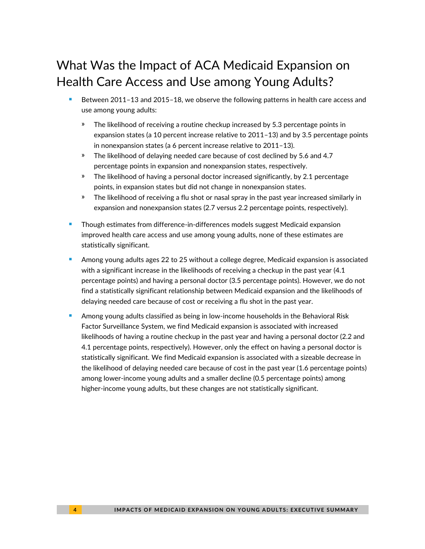# What Was the Impact of ACA Medicaid Expansion on Health Care Access and Use among Young Adults?

- Between 2011-13 and 2015-18, we observe the following patterns in health care access and use among young adults:
	- The likelihood of receiving a routine checkup increased by 5.3 percentage points in expansion states (a 10 percent increase relative to 2011–13) and by 3.5 percentage points in nonexpansion states (a 6 percent increase relative to 2011–13).
	- » The likelihood of delaying needed care because of cost declined by 5.6 and 4.7 percentage points in expansion and nonexpansion states, respectively.
	- » The likelihood of having a personal doctor increased significantly, by 2.1 percentage points, in expansion states but did not change in nonexpansion states.
	- » The likelihood of receiving a flu shot or nasal spray in the past year increased similarly in expansion and nonexpansion states (2.7 versus 2.2 percentage points, respectively).
- Though estimates from difference-in-differences models suggest Medicaid expansion improved health care access and use among young adults, none of these estimates are statistically significant.
- Among young adults ages 22 to 25 without a college degree, Medicaid expansion is associated with a significant increase in the likelihoods of receiving a checkup in the past year (4.1 percentage points) and having a personal doctor (3.5 percentage points). However, we do not find a statistically significant relationship between Medicaid expansion and the likelihoods of delaying needed care because of cost or receiving a flu shot in the past year.
- <sup>◼</sup> Among young adults classified as being in low-income households in the Behavioral Risk Factor Surveillance System, we find Medicaid expansion is associated with increased likelihoods of having a routine checkup in the past year and having a personal doctor (2.2 and 4.1 percentage points, respectively). However, only the effect on having a personal doctor is statistically significant. We find Medicaid expansion is associated with a sizeable decrease in the likelihood of delaying needed care because of cost in the past year (1.6 percentage points) among lower-income young adults and a smaller decline (0.5 percentage points) among higher-income young adults, but these changes are not statistically significant.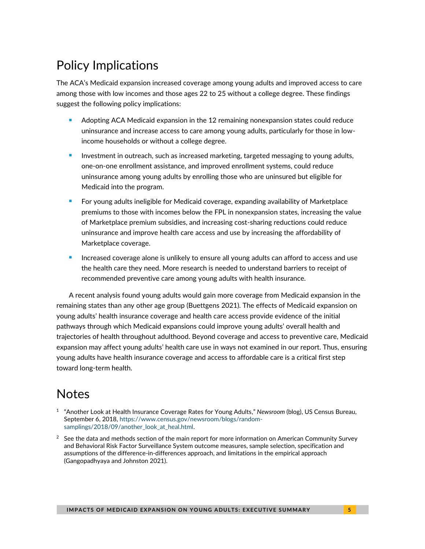# Policy Implications

The ACA's Medicaid expansion increased coverage among young adults and improved access to care among those with low incomes and those ages 22 to 25 without a college degree. These findings suggest the following policy implications:

- Adopting ACA Medicaid expansion in the 12 remaining nonexpansion states could reduce uninsurance and increase access to care among young adults, particularly for those in lowincome households or without a college degree.
- Investment in outreach, such as increased marketing, targeted messaging to young adults, one-on-one enrollment assistance, and improved enrollment systems, could reduce uninsurance among young adults by enrolling those who are uninsured but eligible for Medicaid into the program.
- <sup>◼</sup> For young adults ineligible for Medicaid coverage, expanding availability of Marketplace premiums to those with incomes below the FPL in nonexpansion states, increasing the value of Marketplace premium subsidies, and increasing cost-sharing reductions could reduce uninsurance and improve health care access and use by increasing the affordability of Marketplace coverage.
- Increased coverage alone is unlikely to ensure all young adults can afford to access and use the health care they need. More research is needed to understand barriers to receipt of recommended preventive care among young adults with health insurance.

A recent analysis found young adults would gain more coverage from Medicaid expansion in the remaining states than any other age group (Buettgens 2021). The effects of Medicaid expansion on young adults' health insurance coverage and health care access provide evidence of the initial pathways through which Medicaid expansions could improve young adults' overall health and trajectories of health throughout adulthood. Beyond coverage and access to preventive care, Medicaid expansion may affect young adults' health care use in ways not examined in our report. Thus, ensuring young adults have health insurance coverage and access to affordable care is a critical first step toward long-term health.

#### Notes

- 1 "Another Look at Health Insurance Coverage Rates for Young Adults," *Newsroom* (blog), US Census Bureau, September 6, 2018, [https://www.census.gov/newsroom/blogs/random](https://www.census.gov/newsroom/blogs/random-samplings/2018/09/another_look_at_heal.html)[samplings/2018/09/another\\_look\\_at\\_heal.html.](https://www.census.gov/newsroom/blogs/random-samplings/2018/09/another_look_at_heal.html)
- $2$  See the data and methods section of the main report for more information on American Community Survey and Behavioral Risk Factor Surveillance System outcome measures, sample selection, specification and assumptions of the difference-in-differences approach, and limitations in the empirical approach (Gangopadhyaya and Johnston 2021).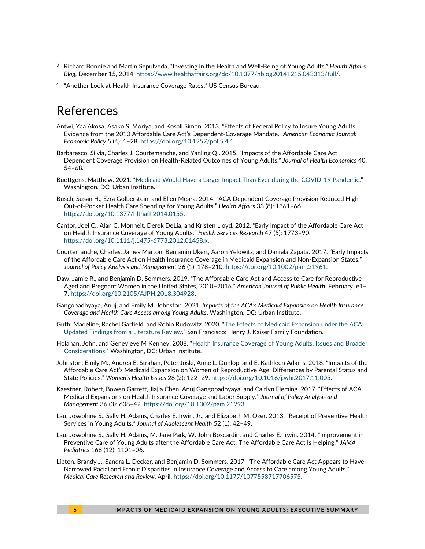- <sup>3</sup> Richard Bonnie and Martin Sepulveda, "Investing in the Health and Well-Being of Young Adults," *Health Affairs Blog*, December 15, 2014, [https://www.healthaffairs.org/do/10.1377/hblog20141215.043313/full/.](https://www.healthaffairs.org/do/10.1377/hblog20141215.043313/full/)
- <sup>4</sup> "Another Look at Health Insurance Coverage Rates," US Census Bureau.

#### References

- Antwi, Yaa Akosa, Asako S. Moriya, and Kosali Simon. 2013. "Effects of Federal Policy to Insure Young Adults: Evidence from the 2010 Affordable Care Act's Dependent-Coverage Mandate." *American Economic Journal: Economic Policy* 5 (4): 1–28[. https://doi.org/10.1257/pol.5.4.1.](https://doi.org/10.1257/pol.5.4.1)
- Barbaresco, Silvia, Charles J. Courtemanche, and Yanling Qi. 2015. "Impacts of the Affordable Care Act Dependent Coverage Provision on Health-Related Outcomes of Young Adults." *Journal of Health Economics* 40: 54–68.
- Buettgens, Matthew. 2021. "[Medicaid Would Have a Larger Impact Than Ever during the COVID-19 Pandemic](https://www.urban.org/research/publication/medicaid-expansion-would-have-larger-impact-ever-during-covid-19-pandemic)." Washington, DC: Urban Institute.
- Busch, Susan H., Ezra Golberstein, and Ellen Meara. 2014. "ACA Dependent Coverage Provision Reduced High Out-of-Pocket Health Care Spending for Young Adults." *Health Affairs* 33 (8): 1361–66. [https://doi.org/10.1377/hlthaff.2014.0155.](https://doi.org/10.1377/hlthaff.2014.0155)
- Cantor, Joel C., Alan C. Monheit, Derek DeLia, and Kristen Lloyd. 2012. "Early Impact of the Affordable Care Act on Health Insurance Coverage of Young Adults." *Health Services Research* 47 (5): 1773–90. [https://doi.org/10.1111/j.1475-6773.2012.01458.x.](https://doi.org/10.1111/j.1475-6773.2012.01458.x)
- Courtemanche, Charles, James Marton, Benjamin Ukert, Aaron Yelowitz, and Daniela Zapata. 2017. "Early Impacts of the Affordable Care Act on Health Insurance Coverage in Medicaid Expansion and Non-Expansion States." *Journal of Policy Analysis and Management* 36 (1): 178–210. [https://doi.org/10.1002/pam.21961.](https://doi.org/10.1002/pam.21961)
- Daw, Jamie R., and Benjamin D. Sommers. 2019. "The Affordable Care Act and Access to Care for Reproductive-Aged and Pregnant Women in the United States, 2010–2016." *American Journal of Public Health*, February, e1– 7. [https://doi.org/10.2105/AJPH.2018.304928.](https://doi.org/10.2105/AJPH.2018.304928)
- Gangopadhyaya, Anuj, and Emily M. Johnston. 2021. *Impacts of the ACA's Medicaid Expansion on Health Insurance Coverage and Health Care Access among Young Adults*. Washington, DC: Urban Institute.
- Guth, Madeline, Rachel Garfield, and Robin Rudowitz. 2020. "[The Effects of Medicaid Expansion under the ACA:](https://www.kff.org/medicaid/report/the-effects-of-medicaid-expansion-under-the-aca-updated-findings-from-a-literature-review/)  [Updated Findings from a Literature Review](https://www.kff.org/medicaid/report/the-effects-of-medicaid-expansion-under-the-aca-updated-findings-from-a-literature-review/)." San Francisco: Henry J. Kaiser Family Foundation.
- Holahan, John, and Genevieve M Kenney. 2008. "[Health Insurance Coverage of Young Adults: Issues and Broader](https://www.urban.org/research/publication/health-insurance-coverage-young-adults.)  [Considerations](https://www.urban.org/research/publication/health-insurance-coverage-young-adults.)." Washington, DC: Urban Institute.
- Johnston, Emily M., Andrea E. Strahan, Peter Joski, Anne L. Dunlop, and E. Kathleen Adams. 2018. "Impacts of the Affordable Care Act's Medicaid Expansion on Women of Reproductive Age: Differences by Parental Status and State Policies." *Women's Health Issues* 28 (2): 122–29[. https://doi.org/10.1016/j.whi.2017.11.005.](https://doi.org/10.1016/j.whi.2017.11.005)
- Kaestner, Robert, Bowen Garrett, Jiajia Chen, Anuj Gangopadhyaya, and Caitlyn Fleming. 2017. "Effects of ACA Medicaid Expansions on Health Insurance Coverage and Labor Supply." *Journal of Policy Analysis and Management* 36 (3): 608–42[. https://doi.org/10.1002/pam.21993.](https://doi.org/10.1002/pam.21993)
- Lau, Josephine S., Sally H. Adams, Charles E. Irwin, Jr., and Elizabeth M. Ozer. 2013. "Receipt of Preventive Health Services in Young Adults." *Journal of Adolescent Health* 52 (1): 42–49.
- Lau, Josephine S., Sally H. Adams, M. Jane Park, W. John Boscardin, and Charles E. Irwin. 2014. "Improvement in Preventive Care of Young Adults after the Affordable Care Act: The Affordable Care Act Is Helping." *JAMA Pediatrics* 168 (12): 1101–06.
- Lipton, Brandy J., Sandra L. Decker, and Benjamin D. Sommers. 2017. "The Affordable Care Act Appears to Have Narrowed Racial and Ethnic Disparities in Insurance Coverage and Access to Care among Young Adults." *Medical Care Research and Review*, April. [https://doi.org/10.1177/1077558717706575.](https://doi.org/10.1177/1077558717706575)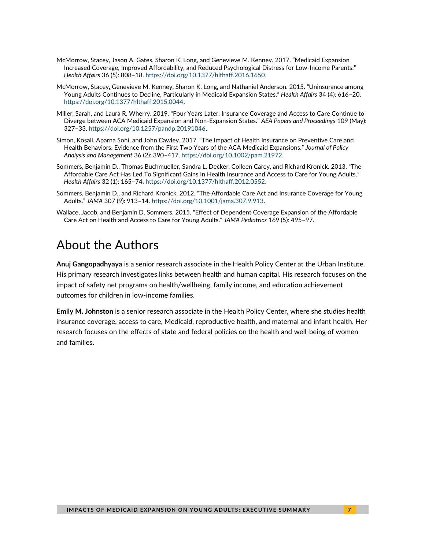- McMorrow, Stacey, Jason A. Gates, Sharon K. Long, and Genevieve M. Kenney. 2017. "Medicaid Expansion Increased Coverage, Improved Affordability, and Reduced Psychological Distress for Low-Income Parents." *Health Affairs* 36 (5): 808–18[. https://doi.org/10.1377/hlthaff.2016.1650.](https://doi.org/10.1377/hlthaff.2016.1650)
- McMorrow, Stacey, Genevieve M. Kenney, Sharon K. Long, and Nathaniel Anderson. 2015. "Uninsurance among Young Adults Continues to Decline, Particularly in Medicaid Expansion States." *Health Affairs* 34 (4): 616–20. [https://doi.org/10.1377/hlthaff.2015.0044.](https://doi.org/10.1377/hlthaff.2015.0044)
- Miller, Sarah, and Laura R. Wherry. 2019. "Four Years Later: Insurance Coverage and Access to Care Continue to Diverge between ACA Medicaid Expansion and Non-Expansion States." *AEA Papers and Proceedings* 109 (May): 327–33. [https://doi.org/10.1257/pandp.20191046.](https://doi.org/10.1257/pandp.20191046)
- Simon, Kosali, Aparna Soni, and John Cawley. 2017. "The Impact of Health Insurance on Preventive Care and Health Behaviors: Evidence from the First Two Years of the ACA Medicaid Expansions." *Journal of Policy Analysis and Management* 36 (2): 390–417[. https://doi.org/10.1002/pam.21972.](https://doi.org/10.1002/pam.21972)
- Sommers, Benjamin D., Thomas Buchmueller, Sandra L. Decker, Colleen Carey, and Richard Kronick. 2013. "The Affordable Care Act Has Led To Significant Gains In Health Insurance and Access to Care for Young Adults." *Health Affairs* 32 (1): 165–74[. https://doi.org/10.1377/hlthaff.2012.0552.](https://doi.org/10.1377/hlthaff.2012.0552)
- Sommers, Benjamin D., and Richard Kronick. 2012. "The Affordable Care Act and Insurance Coverage for Young Adults." *JAMA* 307 (9): 913–14[. https://doi.org/10.1001/jama.307.9.913.](https://doi.org/10.1001/jama.307.9.913)
- Wallace, Jacob, and Benjamin D. Sommers. 2015. "Effect of Dependent Coverage Expansion of the Affordable Care Act on Health and Access to Care for Young Adults." *JAMA Pediatrics* 169 (5): 495–97.

#### About the Authors

**Anuj Gangopadhyaya** is a senior research associate in the Health Policy Center at the Urban Institute. His primary research investigates links between health and human capital. His research focuses on the impact of safety net programs on health/wellbeing, family income, and education achievement outcomes for children in low-income families.

**Emily M. Johnston** is a senior research associate in the Health Policy Center, where she studies health insurance coverage, access to care, Medicaid, reproductive health, and maternal and infant health. Her research focuses on the effects of state and federal policies on the health and well-being of women and families.